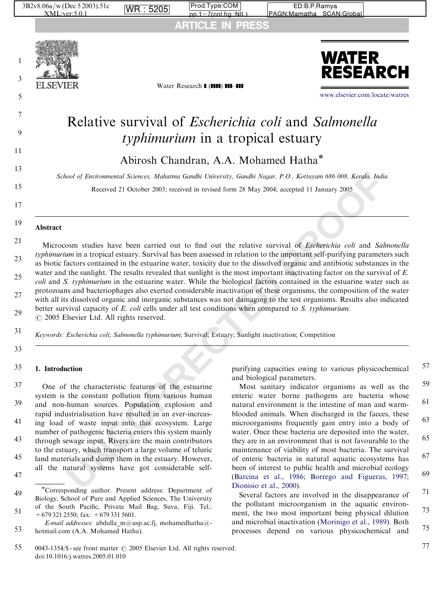

coli and S. typhimurium in the estuarine water. While the biological factors contained in the estuarine water such as protozoans and bacteriophages also exerted considerable inactivation of these organisms, the composition of the water with all its dissolved organic and inorganic substances was not damaging to the test organisms. Results also indicated

better survival capacity of E. coli cells under all test conditions when compared to S. typhimurium.

Keywords: Escherichia coli; Salmonella typhimurium; Survival; Estuary; Sunlight inactivation; Competition

1. Introduction 35

One of the characteristic features of the estuarine system is the constant pollution from various human and non-human sources. Population explosion and rapid industrialisation have resulted in an ever-increasing load of waste input into this ecosystem. Large number of pathogenic bacteria enters this system mainly through sewage input. Rivers are the main contributors to the estuary, which transport a large volume of teluric land materials and dump them in the estuary. However, all the natural systems have got considerable self-37 39 41 43 45

 $\odot$  2005 Elsevier Ltd. All rights reserved.

25

 $27$ 

29

31

33

purifying capacities owing to various physicochemical and biological parameters.

Most sanitary indicator organisms as well as the enteric water borne pathogens are bacteria whose natural environment is the intestine of man and warmblooded animals. When discharged in the faeces, these microorganisms frequently gain entry into a body of water. Once these bacteria are deposited into the water, they are in an environment that is not favourable to the maintenance of viability of most bacteria. The survival of enteric bacteria in natural aquatic ecosystems has been of interest to public health and microbial ecology (Barcina et al., 1986; [Borrego and Figueras, 1997](#page-5-0); Dionisio et al., 2000). 59 61 63 65 67 69

Several factors are involved in the disappearance of the pollutant microorganism in the aquatic environment, the two most important being physical dilution and microbial inactivation ([Morinigo et al., 1989\)](#page-6-0). Both processes depend on various physicochemical and 71 73 75

77

<sup>47</sup>

<sup>49</sup> 51 Corresponding author. Present address: Department of Biology, School of Pure and Applied Sciences, The University of the South Pacific, Private Mail Bag, Suva, Fiji. Tel.:

<sup>+679 321 2550;</sup> fax: +679 331 5601.

<sup>53</sup> E-mail addresses: abdulla\_m@usp.ac.fj, mohamedhatha@ hotmail.com (A.A. Mohamed Hatha).

<sup>55</sup> 0043-1354/\$ - see front matter  $\odot$  2005 Elsevier Ltd. All rights reserved. doi:10.1016/j.watres.2005.01.010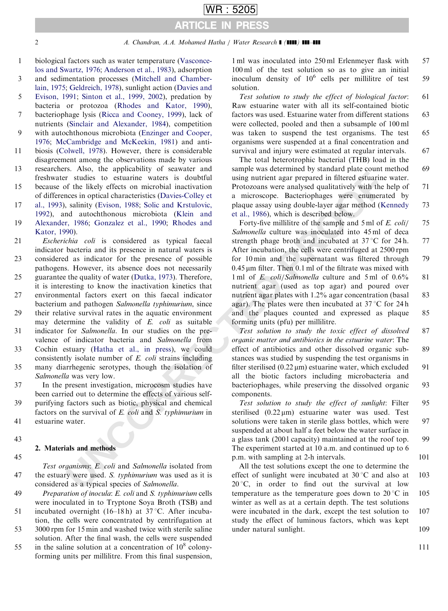## 2 A. Chandran, A.A. Mohamed Hatha / Water Research **1 (1111) 111-111**

ARTICLE IN PRESS

WR : 5205

- biological factors such as water temperature ([Vasconce](#page-6-0)[los and Swartz, 1976;](#page-6-0) [Anderson et al., 1983](#page-5-0)), adsorption and sedimentation processes [\(Mitchell and Chamber-](#page-5-0)1 3
- [lain, 1975;](#page-5-0) [Geldreich, 1978\)](#page-5-0), sunlight action ([Davies and](#page-5-0) [Evison, 1991](#page-5-0); [Sinton et al., 1999, 2002\)](#page-6-0), predation by 5
- bacteria or protozoa [\(Rhodes and Kator, 1990](#page-6-0)), bacteriophage lysis [\(Ricca and Cooney, 1999\)](#page-6-0), lack of nutrients [\(Sinclair and Alexander, 1984\)](#page-6-0), competition 7
- with autochthonous microbiota ([Enzinger and Cooper,](#page-5-0) [1976](#page-5-0); [McCambridge and McKeekin, 1981\)](#page-5-0) and antibiosis [\(Colwell, 1978](#page-5-0)). However, there is considerable 9 11
- disagreement among the observations made by various researchers. Also, the applicability of seawater and freshwater studies to estuarine waters is doubtful because of the likely effects on microbial inactivation 13 15
- of differences in optical characteristics (Davies-Colley et
- [al., 1993\)](#page-5-0), salinity (Evison, 1988; Solic and Krstulovic, [1992](#page-6-0)), and autochthonous microbiota (Klein and [Alexander, 1986](#page-5-0); Gonzalez et al., 1990; Rhodes and 17 19
- [Kator, 1990](#page-6-0)).
- Escherichia coli is considered as typical faecal indicator bacteria and its presence in natural waters is considered as indicator for the presence of possible pathogens. However, its absence does not necessarily guarantee the quality of water (Dutka, 1973). Therefore, it is interesting to know the inactivation kinetics that environmental factors exert on this faecal indicator bacterium and pathogen Salmonella typhimurium, since 21 23 25  $27$
- their relative survival rates in the aquatic environment may determine the validity of E. coli as suitable indicator for Salmonella. In our studies on the prevalence of indicator bacteria and Salmonella from 29 31

Cochin estuary (Hatha et al., in press), we could consistently isolate number of E. coli strains including many diarrhegenic serotypes, though the isolation of Salmonella was very low. 33 35

In the present investigation, microcosm studies have been carried out to determine the effects of various selfpurifying factors such as biotic, physical and chemical factors on the survival of  $E$ . *coli* and  $S$ . *typhimurium* in estuarine water. 37 39 41

43

45

## 2. Materials and methods

Test organisms: E. coli and Salmonella isolated from the estuary were used. S. typhimurium was used as it is considered as a typical species of Salmonella. 47

Preparation of inocula: E. coli and S. typhimurium cells were inoculated in to Tryptone Soya Broth (TSB) and incubated overnight  $(16–18 h)$  at 37 °C. After incubation, the cells were concentrated by centrifugation at 49 51

3000 rpm for 15 min and washed twice with sterile saline solution. After the final wash, the cells were suspended 53

in the saline solution at a concentration of  $10^8$  colonyforming units per millilitre. From this final suspension, 55

1 ml was inoculated into 250 ml Erlenmeyer flask with 100 ml of the test solution so as to give an initial inoculum density of  $10^6$  cells per millilitre of test solution. 57 59

Test solution to study the effect of biological factor: Raw estuarine water with all its self-contained biotic factors was used. Estuarine water from different stations were collected, pooled and then a subsample of 100 ml was taken to suspend the test organisms. The test organisms were suspended at a final concentration and survival and injury were estimated at regular intervals. 61 63 65 67

The total heterotrophic bacterial (THB) load in the sample was determined by standard plate count method using nutrient agar prepared in filtered estuarine water. Protozoans were analysed qualitatively with the help of a microscope. Bacteriophages were enumerated by plaque assay using double-layer agar method [\(Kennedy](#page-5-0) et al., 1986), which is described below. 69 71 73

as reaso, the approach of the likety effects on microbial maticians are solved and sample was secured as the simulation of the likety effect of antimotograp matical contains and the simulation were analyzed qualitatively w Forty-five millilitre of the sample and 5 ml of E. coli/ Salmonella culture was inoculated into 45 ml of deca strength phage broth and incubated at  $37^{\circ}$ C for 24 h. After incubation, the cells were centrifuged at 2500 rpm for 10 min and the supernatant was filtered through  $0.45 \,\mathrm{\upmu m}$  filter. Then  $0.1 \,\mathrm{ml}$  of the filtrate was mixed with 1 ml of *E. coli/Salmonella* culture and 5 ml of 0.6% nutrient agar (used as top agar) and poured over nutrient agar plates with 1.2% agar concentration (basal agar). The plates were then incubated at  $37^{\circ}$ C for 24 h and the plaques counted and expressed as plaque forming units (pfu) per millilitre. 75 77 79 81 83 85

Test solution to study the toxic effect of dissolved organic matter and antibiotics in the estuarine water: The effect of antibiotics and other dissolved organic substances was studied by suspending the test organisms in filter sterilised  $(0.22 \,\mu\text{m})$  estuarine water, which excluded all the biotic factors including microbacteria and bacteriophages, while preserving the dissolved organic components. 87 89 91 93

Test solution to study the effect of sunlight: Filter sterilised  $(0.22 \,\mu\text{m})$  estuarine water was used. Test solutions were taken in sterile glass bottles, which were suspended at about half a feet below the water surface in a glass tank (2001 capacity) maintained at the roof top. The experiment started at 10 a.m. and continued up to 6 p.m. with sampling at 2-h intervals. 95 97 **99** 101

All the test solutions except the one to determine the effect of sunlight were incubated at  $30^{\circ}$ C and also at  $20^{\circ}$ C, in order to find out the survival at low temperature as the temperature goes down to  $20^{\circ}$ C in winter as well as at a certain depth. The test solutions were incubated in the dark, except the test solution to study the effect of luminous factors, which was kept under natural sunlight. 103 105 107 109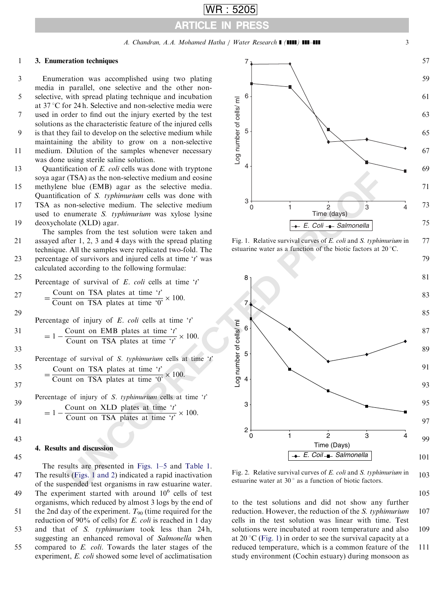A. Chandran, A.A. Mohamed Hatha / Water Research **| (1111) 111-111** 3

ARTICLE IN PRESS

WR : 5205

6

7

#### <span id="page-2-0"></span>3. Enumeration techniques 1

3

5

7

9

11

13

15

17

19

21

 $27$ 

29

31

33

35

37

39

41

Enumeration was accomplished using two plating media in parallel, one selective and the other nonselective, with spread plating technique and incubation at  $37^{\circ}$ C for 24 h. Selective and non-selective media were used in order to find out the injury exerted by the test solutions as the characteristic feature of the injured cells is that they fail to develop on the selective medium while maintaining the ability to grow on a non-selective medium. Dilution of the samples whenever necessary was done using sterile saline solution. Quantification of E. coli cells was done with tryptone soya agar (TSA) as the non-selective medium and eosine methylene blue (EMB) agar as the selective media. Quantification of S. typhimurium cells was done with TSA as non-selective medium. The selective medium used to enumerate S. typhimurium was xylose lysine deoxycholate (XLD) agar. The samples from the test solution were taken and assayed after 1, 2, 3 and 4 days with the spread plating technique. All the samples were replicated two-fold. The

percentage of survivors and injured cells at time 't' was calculated according to the following formulae: 23

Percentage of survival of  $E$ . *coli* cells at time 't' 25

$$
= \frac{\text{Count on TSA plates at time 't'}}{\text{Count on TSA plates at time '0'}} \times 100.
$$

Percentage of injury of  $E$ . *coli* cells at time 't'

$$
= 1 - \frac{\text{Count on EMB plates at time 't'}}{\text{Count on TSA plates at time 't'}} \times 100.
$$

Percentage of survival of S. typhimurium cells at time 't'

- $=\frac{\text{Count on TSA plates at time 't'}}{\text{Count on TSA plates at time '0'}} \times 100.$
- Percentage of injury of S. typhimurium cells at time  $t$

$$
= 1 - \frac{\text{Count on XLD plates at time 't'}}{\text{Count on TSA plates at time 't'}} \times 100.
$$

43

45

## 4. Results and discussion

The results are presented in Figs. 1–5 and Table 1. The results (Figs. 1 and 2) indicated a rapid inactivation of the suspended test organisms in raw estuarine water. The experiment started with around  $10^6$  cells of test organisms, which reduced by almost 3 logs by the end of the 2nd day of the experiment.  $T_{90}$  (time required for the reduction of 90% of cells) for E. coli is reached in 1 day and that of S. typhimurium took less than 24 h, suggesting an enhanced removal of Salmonella when compared to E. coli. Towards the later stages of the experiment, E. coli showed some level of acclimatisation 47 49 51 53 55



77 Fig. 1. Relative survival curves of E. coli and S. typhimurium in estuarine water as a function of the biotic factors at  $20^{\circ}$ C.



103 Fig. 2. Relative survival curves of E. coli and S. typhimurium in estuarine water at  $30^\circ$  as a function of biotic factors.

105

to the test solutions and did not show any further reduction. However, the reduction of the S. typhimurium cells in the test solution was linear with time. Test solutions were incubated at room temperature and also at  $20^{\circ}$ C (Fig. 1) in order to see the survival capacity at a reduced temperature, which is a common feature of the study environment (Cochin estuary) during monsoon as 107 109 111

57

59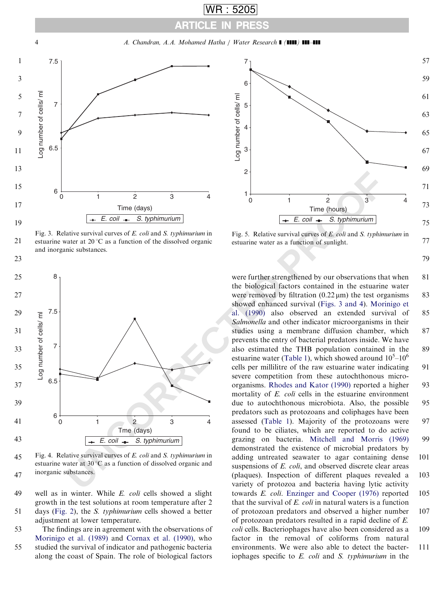A. Chandran, A.A. Mohamed Hatha / Water Research **1 (1111) 111-111** 

ARTICLE IN PRESS

WR : 5205

<span id="page-3-0"></span>

Fig. 3. Relative survival curves of E. coli and S. typhimurium in estuarine water at  $20^{\circ}$ C as a function of the dissolved organic and inorganic substances.

21

23



45 47 Fig. 4. Relative survival curves of E. coli and S. typhimurium in estuarine water at  $30^{\circ}$ C as a function of dissolved organic and inorganic substances.

well as in winter. While E. coli cells showed a slight growth in the test solutions at room temperature after 2 days [\(Fig. 2\)](#page-2-0), the S. typhimurium cells showed a better adjustment at lower temperature. 49 51

The findings are in agreement with the observations of [Morinigo et al. \(1989\)](#page-6-0) and [Cornax et al. \(1990\),](#page-5-0) who studied the survival of indicator and pathogenic bacteria along the coast of Spain. The role of biological factors 53 55



Fig. 5. Relative survival curves of E. coli and S. typhimurium in estuarine water as a function of sunlight.

79

77

**E**<br>
Time (days)<br>  $\frac{1}{\pm E \text{. coil}}$  **The (hours)**<br>  $\frac{1}{\pm E \text{. coil}}$  **E**  $\frac{1}{\pm E \text{. coil}}$  **E**  $\frac{1}{\pm E \text{. coil}}$  and *S. rephimurium*<br>
attive survival curves of *E*, cold and *S. rephimurium*<br>
incessibistances.<br>
The dissolved were further strengthened by our observations that when the biological factors contained in the estuarine water were removed by filtration  $(0.22 \,\mu\text{m})$  the test organisms showed enhanced survival (Figs. 3 and 4). [Morinigo et](#page-6-0) al. (1990) also observed an extended survival of Salmonella and other indicator microorganisms in their studies using a membrane diffusion chamber, which prevents the entry of bacterial predators inside. We have also estimated the THB population contained in the estuarine water (Table 1), which showed around  $10^5 - 10^6$ cells per millilitre of the raw estuarine water indicating severe competition from these autochthonous microorganisms. Rhodes and Kator (1990) reported a higher mortality of E. coli cells in the estuarine environment due to autochthonous microbiota. Also, the possible predators such as protozoans and coliphages have been assessed (Table 1). Majority of the protozoans were found to be ciliates, which are reported to do active grazing on bacteria. [Mitchell and Morris \(1969\)](#page-5-0) demonstrated the existence of microbial predators by adding untreated seawater to agar containing dense suspensions of E. coli, and observed discrete clear areas (plaques). Inspection of different plaques revealed a variety of protozoa and bacteria having lytic activity towards E. coli. [Enzinger and Cooper \(1976\)](#page-5-0) reported that the survival of  $E$ . *coli* in natural waters is a function of protozoan predators and observed a higher number of protozoan predators resulted in a rapid decline of E. coli cells. Bacteriophages have also been considered as a factor in the removal of coliforms from natural environments. We were also able to detect the bacteriophages specific to  $E$ . *coli* and  $S$ . *typhimurium* in the 81 83 85 87 89 91 93 95 97 99 101 103 105 107 109 111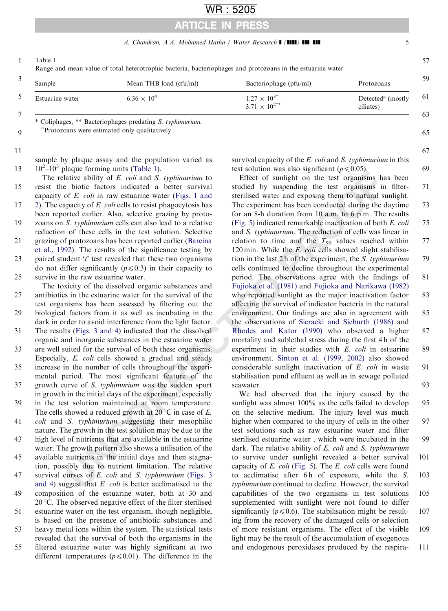# WR : 5205

# ARTICLE IN PRESS

## A. Chandran, A.A. Mohamed Hatha / Water Research **| (1111) 111-111** 55

57

65

67

69

<span id="page-4-0"></span>1 Table 1

Range and mean value of total heterotrophic bacteria, bacteriophages and protozoans in the estuarine water

| ◡ | Sample          | Mean THB load (cfu/ml) | Bacteriophage (pfu/ml)                          | Protozoans                                 | 59 |
|---|-----------------|------------------------|-------------------------------------------------|--------------------------------------------|----|
|   | Estuarine water | $6.36 \times 10^{4}$   | $1.27 \times 10^{3*}$<br>$3.71 \times 10^{2**}$ | Detected <sup>a</sup> (mostly<br>ciliates) | 61 |
| − |                 |                        |                                                 |                                            | 63 |

\* Coliphages, \*\* Bacteriophages predating S. typhimurium.

9 Protozoans were estimated only qualitatively.

11

sample by plaque assay and the population varied as  $10^2 - 10^3$  plaque forming units (Table 1). 13

The relative ability of E. coli and S. typhimurium to resist the biotic factors indicated a better survival capacity of E. coli in raw estuarine water (Figs. 1 and [2\)](#page-2-0). The capacity of E. coli cells to resist phagocytosis has been reported earlier. Also, selective grazing by protozoans on S. typhimurium cells can also lead to a relative reduction of these cells in the test solution. Selective grazing of protozoans has been reported earlier (Barcina [et al., 1992\)](#page-5-0). The results of the significance testing by paired student  $t'$  test revealed that these two organisms do not differ significantly ( $p \le 0.3$ ) in their capacity to survive in the raw estuarine water. 15 17 19 21 23 25

The toxicity of the dissolved organic substances and antibiotics in the estuarine water for the survival of the test organisms has been assessed by filtering out the biological factors from it as well as incubating in the dark in order to avoid interference from the light factor. The results (Figs. 3 and 4) indicated that the dissolved organic and inorganic substances in the estuarine water are well suited for the survival of both these organisms. Especially, E. coli cells showed a gradual and steady increase in the number of cells throughout the experimental period. The most significant feature of the growth curve of S. typhimurium was the sudden spurt in growth in the initial days of the experiment, especially in the test solution maintained at room temperature. The cells showed a reduced growth at  $20^{\circ}$ C in case of E. coli and S. typhimurium suggesting their mesophilic nature. The growth in the test solution may be due to the high level of nutrients that are available in the estuarine water. The growth pattern also shows a utilisation of the available nutrients in the initial days and then stagnation, possibly due to nutrient limitation. The relative survival curves of E. coli and S. typhimurium (Figs. 3 [and 4\)](#page-3-0) suggest that E. coli is better acclimatised to the composition of the estuarine water, both at 30 and  $20^{\circ}$ C. The observed negative effect of the filter sterilised estuarine water on the test organism, though negligible, is based on the presence of antibiotic substances and heavy metal ions within the system. The statistical tests revealed that the survival of both the organisms in the filtered estuarine water was highly significant at two different temperatures ( $p \le 0.01$ ). The difference in the 27 29 31 33 35 37 39 41 43 45 47 49 51 53 55

survival capacity of the  $E$ . *coli* and  $S$ . *typhimurium* in this test solution was also significant ( $p \le 0.05$ ).

**Example the transfer of the solution of the solution of the solution of the solution of the contriguously of** *E***.** *col***f in raw estuarine water (Figs. 1 and<br>staribled by supperfilms the big staribled about the set organi** Effect of sunlight on the test organisms has been studied by suspending the test organisms in filtersterilised water and exposing them to natural sunlight. The experiment has been conducted during the daytime for an 8-h duration from 10 a.m. to 6 p.m. The results (Fig. 5) indicated remarkable inactivation of both E. coli and S. typhimurium. The reduction of cells was linear in relation to time and the  $T_{90}$  values reached within 120 min. While the E. coli cells showed slight stabilisation in the last 2 h of the experiment, the S. typhimurium cells continued to decline throughout the experimental period. The observations agree with the findings of Fujioka et al. (1981) and [Fujioka and Narikawa \(1982\)](#page-5-0) who reported sunlight as the major inactivation factor affecting the survival of indicator bacteria in the natural environment. Our findings are also in agreement with the observations of [Sieracki and Sieburth \(1986\)](#page-6-0) and Rhodes and Kator (1990) who observed a higher mortality and sublethal stress during the first 4 h of the experiment in their studies with E. coli in estuarine environment. Sinton et al. (1999, 2002) also showed considerable sunlight inactivation of E. coli in waste stabilisation pond effluent as well as in sewage polluted seawater. 71 73 75 77 79 81 83 85 87 89 91 93

We had observed that the injury caused by the sunlight was almost 100% as the cells failed to develop on the selective medium. The injury level was much higher when compared to the injury of cells in the other test solutions such as raw estuarine water and filter sterilised estuarine water , which were incubated in the dark. The relative ability of E. coli and S. typhimurium to survive under sunlight revealed a better survival capacity of E. coli (Fig. 5). The E. coli cells were found to acclimatise after 6h of exposure, while the S. typhimurium continued to decline. However, the survival capabilities of the two organisms in test solutions supplemented with sunlight were not found to differ significantly ( $p \le 0.6$ ). The stabilisation might be resulting from the recovery of the damaged cells or selection of more resistant organisms. The effect of the visible light may be the result of the accumulation of exogenous and endogenous peroxidases produced by the respira-95 97 99 101 103 105 107 109 111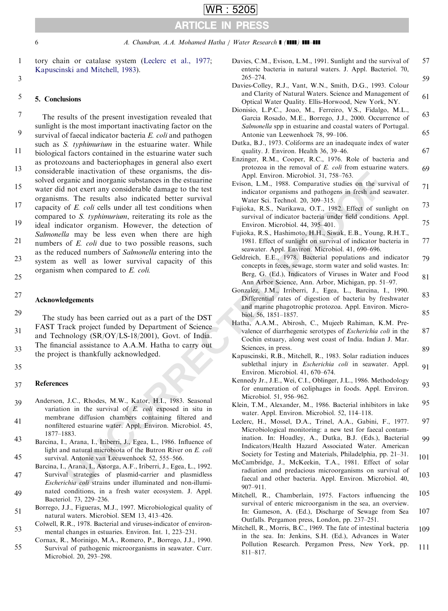<span id="page-5-0"></span>

3

WR : 5205

tory chain or catalase system (Leclerc et al., 1977; Kapuscinski and Mitchell, 1983). 1

### 5. Conclusions 5

The results of the present investigation revealed that sunlight is the most important inactivating factor on the survival of faecal indicator bacteria E. coli and pathogen such as *S. typhimurium* in the estuarine water. While biological factors contained in the estuarine water such as protozoans and bacteriophages in general also exert considerable inactivation of these organisms, the dissolved organic and inorganic substances in the estuarine water did not exert any considerable damage to the test organisms. The results also indicated better survival capacity of E. coli cells under all test conditions when compared to S. typhimurium, reiterating its role as the ideal indicator organism. However, the detection of Salmonella may be less even when there are high numbers of E. coli due to two possible reasons, such as the reduced numbers of Salmonella entering into the system as well as lower survival capacity of this organism when compared to E. coli. 7 9 11 13 15 17 19 21 23

25 27

## Acknowledgements

The study has been carried out as a part of the DST FAST Track project funded by Department of Science and Technology (SR/OY/LS-18/2001), Govt. of India. The financial assistance to A.A.M. Hatha to carry out the project is thankfully acknowledged. 29 31 33

35

#### References 37

- Anderson, J.C., Rhodes, M.W., Kator, H.I., 1983. Seasonal variation in the survival of E. coli exposed in situ in membrane diffusion chambers containing filtered and nonfiltered estuarine water. Appl. Environ. Microbiol. 45, 1877–1883. 39 41 43
- Barcina, I., Arana, I., Iriberri, J., Egea, L., 1986. Influence of light and natural microbiota of the Butron River on E. coli survival. Antonie van Leeuwenhoek 52, 555–566. 45
- Barcina, I., Arana, I., Astorga, A.F., Iriberri, J., Egea, L., 1992. Survival strategies of plasmid-carrier and plasmidless Escherichia coli strains under illuminated and non-illuminated conditions, in a fresh water ecosystem. J. Appl. Bacteriol. 73, 229–236. 47 49
- Borrego, J.J., Figueras, M.J., 1997. Microbiological quality of natural waters. Microbiol. SEM 13, 413–426. 51
- Colwell, R.R., 1978. Bacterial and viruses-indicator of environmental changes in estuaries. Environ. Int. 1, 223–231. 53
- Cornax, R., Morinigo, M.A., Romero, P., Borrego, J.J., 1990. Survival of pathogenic microorganisms in seawater. Curr. Microbiol. 20, 293–298. 55

| n or catalase system (Leclerc et al., 1977;<br>ski and Mitchell, 1983).                                                                                         | Davies, C.M., Evison, L.M., 1991. Sunlight and the survival of<br>enteric bacteria in natural waters. J. Appl. Bacteriol. 70,<br>$265 - 274.$                                 | 57       |
|-----------------------------------------------------------------------------------------------------------------------------------------------------------------|-------------------------------------------------------------------------------------------------------------------------------------------------------------------------------|----------|
|                                                                                                                                                                 | Davies-Colley, R.J., Vant, W.N., Smith, D.G., 1993. Colour<br>and Clarity of Natural Waters. Science and Management of                                                        | 59       |
| sions                                                                                                                                                           | Optical Water Quality. Ellis-Horwood, New York, NY.<br>Dionisio, L.P.C., Joao, M., Ferreiro, V.S., Fidalgo, M.L.,                                                             | 61       |
| sults of the present investigation revealed that<br>s the most important inactivating factor on the                                                             | Garcia Rosado, M.E., Borrego, J.J., 2000. Occurrence of<br>Salmonella spp in estuarine and coastal waters of Portugal.                                                        | 63<br>65 |
| f faecal indicator bacteria E. coli and pathogen<br>S. typhimurium in the estuarine water. While                                                                | Antonie van Leewenhoek 78, 99-106.<br>Dutka, B.J., 1973. Coliforms are an inadequate index of water                                                                           |          |
| factors contained in the estuarine water such<br>oans and bacteriophages in general also exert                                                                  | quality. J. Environ. Health 36, 39-46.<br>Enzinger, R.M., Cooper, R.C., 1976. Role of bacteria and                                                                            | 67       |
| ble inactivation of these organisms, the dis-<br>ganic and inorganic substances in the estuarine                                                                | protozoa in the removal of $E$ . <i>coli</i> from estuarine waters.<br>Appl. Environ. Microbiol. 31, 758–763.<br>Evison, L.M., 1988. Comparative studies on the survival of   | 69       |
| not exert any considerable damage to the test<br>s. The results also indicated better survival                                                                  | indicator organisms and pathogens in fresh and seawater.<br>Water Sci. Technol. 20, 309-315.                                                                                  | 71       |
| of E. coli cells under all test conditions when<br>to S. typhimurium, reiterating its role as the                                                               | Fujioka, R.S., Narikawa, O.T., 1982. Effect of sunlight on<br>survival of indicator bacteria under field conditions. Appl.                                                    | 73       |
| icator organism. However, the detection of<br>a may be less even when there are high                                                                            | Environ. Microbiol. 44, 395-401.<br>Fujioka, R.S., Hashimoto, H.H., Siwak, E.B., Young, R.H.T.,                                                                               | 75       |
| of E. coli due to two possible reasons, such<br>luced numbers of Salmonella entering into the                                                                   | 1981. Effect of sunlight on survival of indicator bacteria in<br>seawater. Appl. Environ. Microbiol. 41, 690-696.                                                             | 77       |
| s well as lower survival capacity of this<br>when compared to E. coli.                                                                                          | Geldreich, E.E., 1978. Bacterial populations and indicator<br>concepts in feces, sewage, storm water and solid wastes. In:                                                    | 79       |
|                                                                                                                                                                 | Berg, G. (Ed.), Indicators of Viruses in Water and Food<br>Ann Arbor Science, Ann. Arbor, Michigan, pp. 51–97.<br>Gonzalez, J.M., Irriberri, J., Egea, L., Barcina, I., 1990. | 81       |
| dgements                                                                                                                                                        | Differential rates of digestion of bacteria by freshwater<br>and marine phagotrophic protozoa. Appl. Environ. Micro-                                                          | 83       |
| dy has been carried out as a part of the DST                                                                                                                    | biol. 56, 1851–1857.<br>Hatha, A.A.M., Abirosh, C., Mujeeb Rahiman, K.M. Pre-                                                                                                 | 85       |
| ack project funded by Department of Science<br>nology (SR/OY/LS-18/2001), Govt. of India.                                                                       | valence of diarrhegenic serotypes of Escherichia coli in the<br>Cochin estuary, along west coast of India. Indian J. Mar.                                                     | 87       |
| cial assistance to A.A.M. Hatha to carry out<br>et is thankfully acknowledged.                                                                                  | Sciences, in press.<br>Kapuscinski, R.B., Mitchell, R., 1983. Solar radiation induces                                                                                         | 89       |
|                                                                                                                                                                 | sublethal injury in <i>Escherichia coli</i> in seawater. Appl.<br>Environ. Microbiol. 41, 670-674.                                                                            | 91       |
| S                                                                                                                                                               | Kennedy Jr., J.E., Wei, C.I., Oblinger, J.L., 1986. Methodology<br>for enumeration of coliphages in foods. Appl. Environ.                                                     | 93       |
| J.C., Rhodes, M.W., Kator, H.I., 1983. Seasonal<br>on in the survival of E coli exposed in situ in                                                              | Microbiol. 51, 956-962.<br>Klein, T.M., Alexander, M., 1986. Bacterial inhibitors in lake<br>water. Appl. Environ. Microbiol. 52, 114-118.                                    | 95       |
| ane diffusion chambers containing filtered and<br>ered estuarine water. Appl. Environ. Microbiol. 45,                                                           | Leclerc, H., Mossel, D.A., Trinel, A.A., Gabini, F., 1977.<br>Microbiological monitoring: a new test for faecal contam-                                                       | 97       |
| 883.<br>, Arana, I., Iriberri, J., Egea, L., 1986. Influence of<br>d natural microbiota of the Butron River on E. coli                                          | ination. In: Hoadley, A., Dutka, B.J. (Eds.), Bacterial<br>Indicators/Health Hazard Associated Water. American                                                                | 99       |
| l. Antonie van Leeuwenhoek 52, 555-566.<br>Arana, I., Astorga, A.F., Iriberri, J., Egea, L., 1992.                                                              | Society for Testing and Materials, Philadelphia, pp. 21–31.<br>McCambridge, J., McKeekin, T.A., 1981. Effect of solar                                                         | 101      |
| I strategies of plasmid-carrier and plasmidless<br>chia coli strains under illuminated and non-illumi-                                                          | radiation and predacious microorganisms on survival of<br>faecal and other bacteria. Appl. Environ. Microbiol. 40,<br>907-911.                                                | 103      |
| conditions, in a fresh water ecosystem. J. Appl.<br>ol. 73, 229–236.                                                                                            | Mitchell, R., Chamberlain, 1975. Factors influencing the<br>survival of enteric microorganism in the sea, an overview.                                                        | 105      |
| J., Figueras, M.J., 1997. Microbiological quality of<br>waters. Microbiol. SEM 13, 413-426.                                                                     | In: Gameson, A. (Ed.), Discharge of Sewage from Sea<br>Outfalls. Pergamon press, London, pp. 237-251.                                                                         | 107      |
| R., 1978. Bacterial and viruses-indicator of environ-<br>changes in estuaries. Environ. Int. 1, 223-231.<br>., Morinigo, M.A., Romero, P., Borrego, J.J., 1990. | Mitchell, R., Morris, B.C., 1969. The fate of intestinal bacteria<br>in the sea. In: Jenkins, S.H. (Ed.), Advances in Water                                                   | 109      |
| 1 of pathogenic microorganisms in seawater. Curr.<br>iol. 20, 293-298.                                                                                          | Pollution Research. Pergamon Press, New York, pp.<br>811–817.                                                                                                                 | 111      |